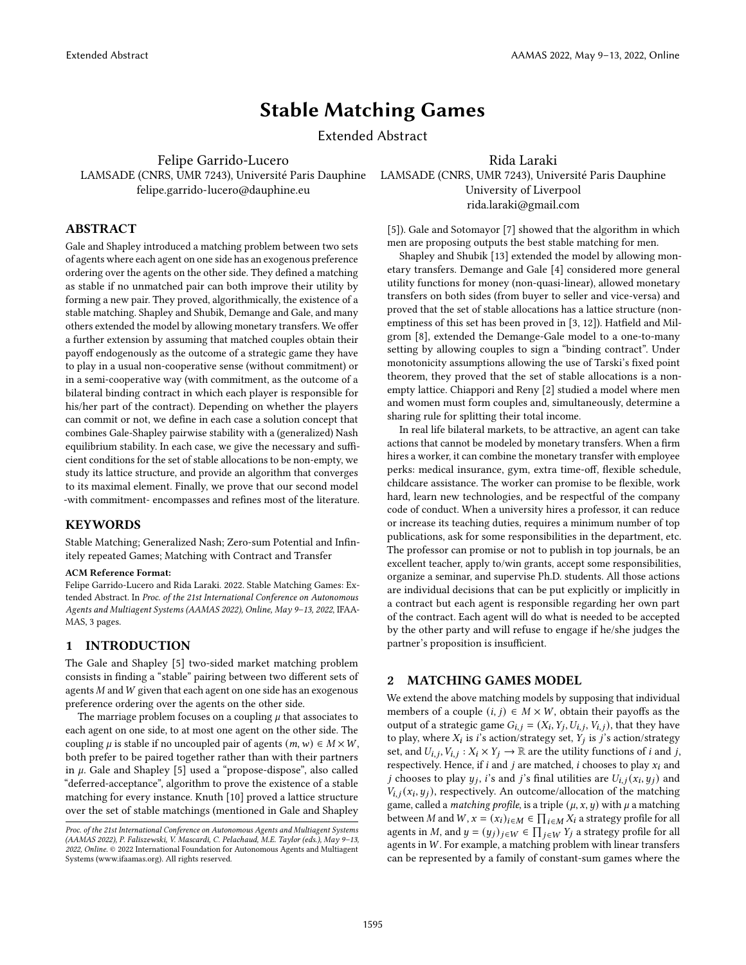# Stable Matching Games

Extended Abstract

Felipe Garrido-Lucero

Rida Laraki

LAMSADE (CNRS, UMR 7243), Université Paris Dauphine LAMSADE (CNRS, UMR 7243), Université Paris Dauphine felipe.garrido-lucero@dauphine.eu

## ABSTRACT

Gale and Shapley introduced a matching problem between two sets of agents where each agent on one side has an exogenous preference ordering over the agents on the other side. They defined a matching as stable if no unmatched pair can both improve their utility by forming a new pair. They proved, algorithmically, the existence of a stable matching. Shapley and Shubik, Demange and Gale, and many others extended the model by allowing monetary transfers. We offer a further extension by assuming that matched couples obtain their payoff endogenously as the outcome of a strategic game they have to play in a usual non-cooperative sense (without commitment) or in a semi-cooperative way (with commitment, as the outcome of a bilateral binding contract in which each player is responsible for his/her part of the contract). Depending on whether the players can commit or not, we define in each case a solution concept that combines Gale-Shapley pairwise stability with a (generalized) Nash equilibrium stability. In each case, we give the necessary and sufficient conditions for the set of stable allocations to be non-empty, we study its lattice structure, and provide an algorithm that converges to its maximal element. Finally, we prove that our second model -with commitment- encompasses and refines most of the literature.

## **KEYWORDS**

Stable Matching; Generalized Nash; Zero-sum Potential and Infinitely repeated Games; Matching with Contract and Transfer

#### ACM Reference Format:

Felipe Garrido-Lucero and Rida Laraki. 2022. Stable Matching Games: Extended Abstract. In Proc. of the 21st International Conference on Autonomous Agents and Multiagent Systems (AAMAS 2022), Online, May 9–13, 2022, IFAA-MAS, [3](#page-2-0) pages.

## 1 INTRODUCTION

The Gale and Shapley [\[5\]](#page-2-1) two-sided market matching problem consists in finding a "stable" pairing between two different sets of agents  $M$  and  $W$  given that each agent on one side has an exogenous preference ordering over the agents on the other side.

The marriage problem focuses on a coupling  $\mu$  that associates to each agent on one side, to at most one agent on the other side. The coupling  $\mu$  is stable if no uncoupled pair of agents  $(m, w) \in M \times W$ , both prefer to be paired together rather than with their partners in  $\mu$ . Gale and Shapley [\[5\]](#page-2-1) used a "propose-dispose", also called "deferred-acceptance", algorithm to prove the existence of a stable matching for every instance. Knuth [\[10\]](#page-2-2) proved a lattice structure over the set of stable matchings (mentioned in Gale and Shapley

[\[5\]](#page-2-1)). Gale and Sotomayor [\[7\]](#page-2-3) showed that the algorithm in which men are proposing outputs the best stable matching for men.

University of Liverpool rida.laraki@gmail.com

Shapley and Shubik [\[13\]](#page-2-4) extended the model by allowing monetary transfers. Demange and Gale [\[4\]](#page-2-5) considered more general utility functions for money (non-quasi-linear), allowed monetary transfers on both sides (from buyer to seller and vice-versa) and proved that the set of stable allocations has a lattice structure (nonemptiness of this set has been proved in [\[3,](#page-2-6) [12\]](#page-2-7)). Hatfield and Milgrom [\[8\]](#page-2-8), extended the Demange-Gale model to a one-to-many setting by allowing couples to sign a "binding contract". Under monotonicity assumptions allowing the use of Tarski's fixed point theorem, they proved that the set of stable allocations is a nonempty lattice. Chiappori and Reny [\[2\]](#page-2-9) studied a model where men and women must form couples and, simultaneously, determine a sharing rule for splitting their total income.

In real life bilateral markets, to be attractive, an agent can take actions that cannot be modeled by monetary transfers. When a firm hires a worker, it can combine the monetary transfer with employee perks: medical insurance, gym, extra time-off, flexible schedule, childcare assistance. The worker can promise to be flexible, work hard, learn new technologies, and be respectful of the company code of conduct. When a university hires a professor, it can reduce or increase its teaching duties, requires a minimum number of top publications, ask for some responsibilities in the department, etc. The professor can promise or not to publish in top journals, be an excellent teacher, apply to/win grants, accept some responsibilities, organize a seminar, and supervise Ph.D. students. All those actions are individual decisions that can be put explicitly or implicitly in a contract but each agent is responsible regarding her own part of the contract. Each agent will do what is needed to be accepted by the other party and will refuse to engage if he/she judges the partner's proposition is insufficient.

## 2 MATCHING GAMES MODEL

We extend the above matching models by supposing that individual members of a couple  $(i, j) \in M \times W$ , obtain their payoffs as the output of a strategic game  $G_{i,j} = (X_i, Y_j, U_{i,j}, V_{i,j})$ , that they have to play, where  $X_i$  is i's action/strategy set,  $\hat{Y}_j$  is j's action/strategy set, and  $U_{i,j}$ ,  $V_{i,j}$  :  $X_i \times Y_j \to \mathbb{R}$  are the utility functions of *i* and *j*, respectively. Hence, if  $i$  and  $j$  are matched,  $i$  chooses to play  $x_i$  and *j* chooses to play  $y_j$ , *i*'s and *j*'s final utilities are  $U_{i,j}(x_i, y_j)$  and  $V_{i,j}(x_i, y_j)$ , respectively. An outcome/allocation of the matching game, called a *matching profile*, is a triple  $(\mu, x, y)$  with  $\mu$  a matching between M and  $W, x = (x_i)_{i \in M} \in \prod_{i \in M} X_i$  a strategy profile for all agents in M, and  $y = (y_j)_{j \in W} \in \prod_{j \in W} Y_j$  a strategy profile for all agents in W. For example, a matching problem with linear transfers can be represented by a family of constant-sum games where the

Proc. of the 21st International Conference on Autonomous Agents and Multiagent Systems (AAMAS 2022), P. Faliszewski, V. Mascardi, C. Pelachaud, M.E. Taylor (eds.), May 9–13, 2022, Online. © 2022 International Foundation for Autonomous Agents and Multiagent Systems (www.ifaamas.org). All rights reserved.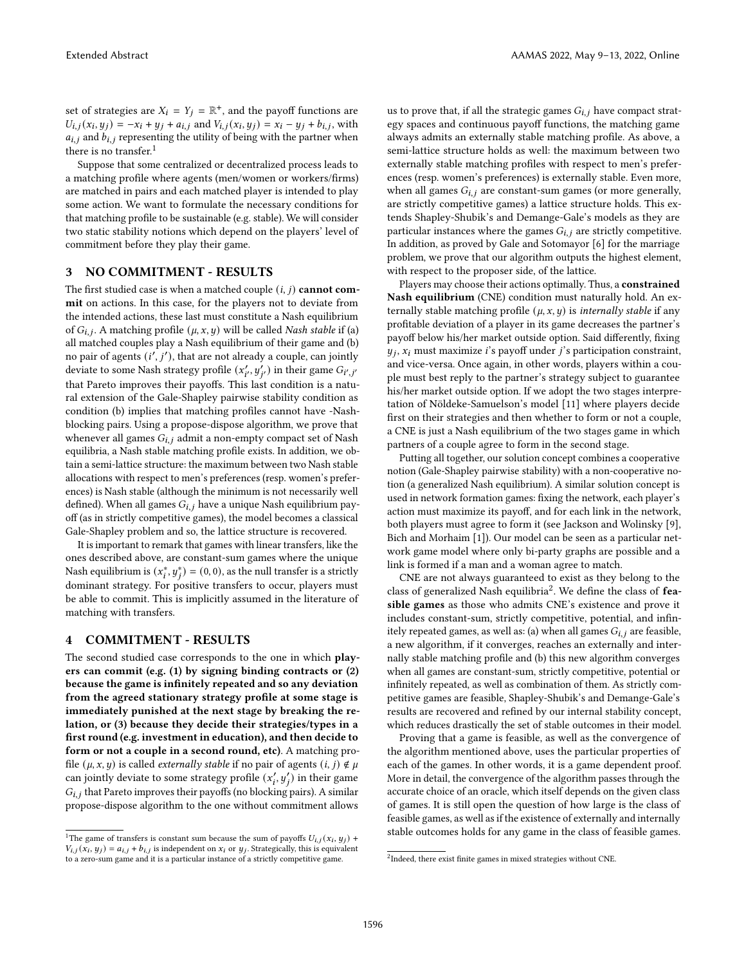set of strategies are  $X_i = Y_j = \mathbb{R}^+$ , and the payoff functions are  $U_{i,j}(x_i, y_j) = -x_i + y_j + a_{i,j}$  and  $V_{i,j}(x_i, y_j) = x_i - y_j + b_{i,j}$ , with  $a_{i,j}$  and  $b_{i,j}$  representing the utility of being with the partner when there is no transfer. $<sup>1</sup>$  $<sup>1</sup>$  $<sup>1</sup>$ </sup>

Suppose that some centralized or decentralized process leads to a matching profile where agents (men/women or workers/firms) are matched in pairs and each matched player is intended to play some action. We want to formulate the necessary conditions for that matching profile to be sustainable (e.g. stable). We will consider two static stability notions which depend on the players' level of commitment before they play their game.

#### 3 NO COMMITMENT - RESULTS

The first studied case is when a matched couple  $(i, j)$  cannot commit on actions. In this case, for the players not to deviate from the intended actions, these last must constitute a Nash equilibrium of  $G_{i,j}$ . A matching profile  $(\mu, x, y)$  will be called Nash stable if (a) all matched couples play a Nash equilibrium of their game and (b) no pair of agents  $(i', j')$ , that are not already a couple, can jointly deviate to some Nash strategy profile  $(x'_{i'}, y'_{i'})$  in their game  $G_{i',j'}$ that Pareto improves their payoffs. This last condition is a natural extension of the Gale-Shapley pairwise stability condition as condition (b) implies that matching profiles cannot have -Nashblocking pairs. Using a propose-dispose algorithm, we prove that whenever all games  $G_{i,j}$  admit a non-empty compact set of Nash equilibria, a Nash stable matching profile exists. In addition, we obtain a semi-lattice structure: the maximum between two Nash stable allocations with respect to men's preferences (resp. women's preferences) is Nash stable (although the minimum is not necessarily well defined). When all games  $G_{i,j}$  have a unique Nash equilibrium payoff (as in strictly competitive games), the model becomes a classical Gale-Shapley problem and so, the lattice structure is recovered.

It is important to remark that games with linear transfers, like the ones described above, are constant-sum games where the unique Nash equilibrium is  $(x_i^*, y_j^*) = (0, 0)$ , as the null transfer is a strictly dominant strategy. For positive transfers to occur, players must be able to commit. This is implicitly assumed in the literature of matching with transfers.

#### 4 COMMITMENT - RESULTS

The second studied case corresponds to the one in which players can commit (e.g. (1) by signing binding contracts or (2) because the game is infinitely repeated and so any deviation from the agreed stationary strategy profile at some stage is immediately punished at the next stage by breaking the relation, or (3) because they decide their strategies/types in a first round (e.g. investment in education), and then decide to form or not a couple in a second round, etc). A matching profile  $(\mu, x, y)$  is called *externally stable* if no pair of agents  $(i, j) \notin \mu$ can jointly deviate to some strategy profile  $(x'_i, y'_j)$  in their game  $G_{i,j}$  that Pareto improves their payoffs (no blocking pairs). A similar propose-dispose algorithm to the one without commitment allows

us to prove that, if all the strategic games  $G_{i,j}$  have compact strategy spaces and continuous payoff functions, the matching game always admits an externally stable matching profile. As above, a semi-lattice structure holds as well: the maximum between two externally stable matching profiles with respect to men's preferences (resp. women's preferences) is externally stable. Even more, when all games  $G_{i,j}$  are constant-sum games (or more generally, are strictly competitive games) a lattice structure holds. This extends Shapley-Shubik's and Demange-Gale's models as they are particular instances where the games  $G_{i,j}$  are strictly competitive. In addition, as proved by Gale and Sotomayor [\[6\]](#page-2-10) for the marriage problem, we prove that our algorithm outputs the highest element, with respect to the proposer side, of the lattice.

Players may choose their actions optimally. Thus, a constrained Nash equilibrium (CNE) condition must naturally hold. An externally stable matching profile  $(\mu, x, y)$  is *internally stable* if any profitable deviation of a player in its game decreases the partner's payoff below his/her market outside option. Said differently, fixing  $y_j$ ,  $x_i$  must maximize i's payoff under j's participation constraint, and vice-versa. Once again, in other words, players within a couple must best reply to the partner's strategy subject to guarantee his/her market outside option. If we adopt the two stages interpretation of Nöldeke-Samuelson's model [\[11\]](#page-2-11) where players decide first on their strategies and then whether to form or not a couple, a CNE is just a Nash equilibrium of the two stages game in which partners of a couple agree to form in the second stage.

Putting all together, our solution concept combines a cooperative notion (Gale-Shapley pairwise stability) with a non-cooperative notion (a generalized Nash equilibrium). A similar solution concept is used in network formation games: fixing the network, each player's action must maximize its payoff, and for each link in the network, both players must agree to form it (see Jackson and Wolinsky [\[9\]](#page-2-12), Bich and Morhaim [\[1\]](#page-2-13)). Our model can be seen as a particular network game model where only bi-party graphs are possible and a link is formed if a man and a woman agree to match.

CNE are not always guaranteed to exist as they belong to the class of generalized Nash equilibria<sup>[2](#page-1-1)</sup>. We define the class of  $f$ easible games as those who admits CNE's existence and prove it includes constant-sum, strictly competitive, potential, and infinitely repeated games, as well as: (a) when all games  $G_{i,j}$  are feasible, a new algorithm, if it converges, reaches an externally and internally stable matching profile and (b) this new algorithm converges when all games are constant-sum, strictly competitive, potential or infinitely repeated, as well as combination of them. As strictly competitive games are feasible, Shapley-Shubik's and Demange-Gale's results are recovered and refined by our internal stability concept, which reduces drastically the set of stable outcomes in their model.

Proving that a game is feasible, as well as the convergence of the algorithm mentioned above, uses the particular properties of each of the games. In other words, it is a game dependent proof. More in detail, the convergence of the algorithm passes through the accurate choice of an oracle, which itself depends on the given class of games. It is still open the question of how large is the class of feasible games, as well as if the existence of externally and internally stable outcomes holds for any game in the class of feasible games.

<span id="page-1-0"></span><sup>&</sup>lt;sup>1</sup>The game of transfers is constant sum because the sum of payoffs  $U_{i,j}(x_i, y_j)$  +  $V_{i,j}(x_i, y_j) = a_{i,j} + b_{i,j}$  is independent on  $x_i$  or  $y_j$ . Strategically, this is equivalent to a zero-sum game and it is a particular instance of a strictly competitive game.

<span id="page-1-1"></span><sup>&</sup>lt;sup>2</sup>Indeed, there exist finite games in mixed strategies without CNE.